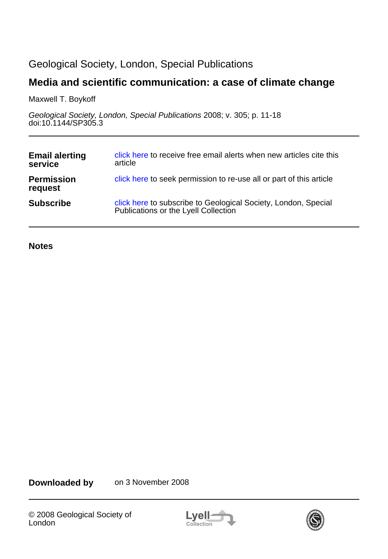# Geological Society, London, Special Publications

# **Media and scientific communication: a case of climate change**

Maxwell T. Boykoff

doi:10.1144/SP305.3 Geological Society, London, Special Publications 2008; v. 305; p. 11-18

| <b>Email alerting</b><br>service | click here to receive free email alerts when new articles cite this<br>article                         |
|----------------------------------|--------------------------------------------------------------------------------------------------------|
| <b>Permission</b><br>request     | click here to seek permission to re-use all or part of this article                                    |
| <b>Subscribe</b>                 | click here to subscribe to Geological Society, London, Special<br>Publications or the Lyell Collection |

**Notes**

**Downloaded by** on 3 November 2008



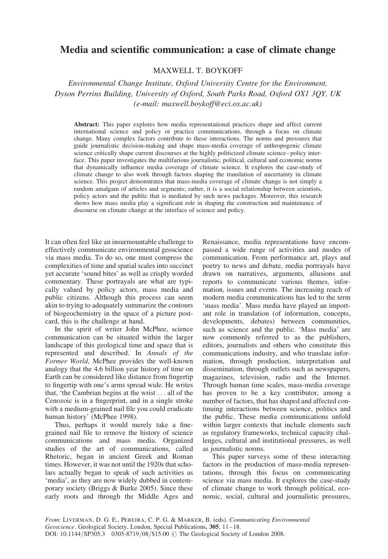## Media and scientific communication: a case of climate change

MAXWELL T. BOYKOFF

Environmental Change Institute, Oxford University Centre for the Environment, Dyson Perrins Building, University of Oxford, South Parks Road, Oxford OX1 3QY, UK (e-mail: maxwell.boykoff@eci.ox.ac.uk)

Abstract: This paper explores how media representational practices shape and affect current international science and policy or practice communications, through a focus on climate change. Many complex factors contribute to these interactions. The norms and pressures that guide journalistic decision-making and shape mass-media coverage of anthropogenic climate science critically shape current discourses at the highly politicized climate science–policy interface. This paper investigates the multifarious journalistic, political, cultural and economic norms that dynamically influence media coverage of climate science. It explores the case-study of climate change to also work through factors shaping the translation of uncertainty in climate science. This project demonstrates that mass-media coverage of climate change is not simply a random amalgam of articles and segments; rather, it is a social relationship between scientists, policy actors and the public that is mediated by such news packages. Moreover, this research shows how mass media play a significant role in shaping the construction and maintenance of discourse on climate change at the interface of science and policy.

It can often feel like an insurmountable challenge to effectively communicate environmental geoscience via mass media. To do so, one must compress the complexities of time and spatial scales into succinct yet accurate 'sound bites' as well as crisply worded commentary. These portrayals are what are typically valued by policy actors, mass media and public citizens. Although this process can seem akin to trying to adequately summarize the contours of biogeochemistry in the space of a picture postcard, this is the challenge at hand.

In the spirit of writer John McPhee, science communication can be situated within the larger landscape of this geological time and space that is represented and described. In Annals of the Former World, McPhee provides the well-known analogy that the 4.6 billion year history of time on Earth can be considered like distance from fingertip to fingertip with one's arms spread wide. He writes that, 'the Cambrian begins at the wrist ... all of the Cenozoic is in a fingerprint, and in a single stroke with a medium-grained nail file you could eradicate human history' (McPhee 1998).

Thus, perhaps it would merely take a finegrained nail file to remove the history of science communications and mass media. Organized studies of the art of communications, called Rhetoric, began in ancient Greek and Roman times. However, it was not until the 1920s that scholars actually began to speak of such activities as 'media', as they are now widely dubbed in contemporary society (Briggs & Burke 2005). Since these early roots and through the Middle Ages and

Renaissance, media representations have encompassed a wide range of activities and modes of communication. From performance art, plays and poetry to news and debate, media portrayals have drawn on narratives, arguments, allusions and reports to communicate various themes, information, issues and events. The increasing reach of modern media communications has led to the term 'mass media'. Mass media have played an important role in translation (of information, concepts, developments, debates) between communities, such as science and the public. 'Mass media' are now commonly referred to as the publishers, editors, journalists and others who constitute this communications industry, and who translate information, through production, interpretation and dissemination, through outlets such as newspapers, magazines, television, radio and the Internet. Through human time scales, mass-media coverage has proven to be a key contributor, among a number of factors, that has shaped and affected continuing interactions between science, politics and the public. These media communications unfold within larger contexts that include elements such as regulatory frameworks, technical capacity challenges, cultural and institutional pressures, as well as journalistic norms.

This paper surveys some of these interacting factors in the production of mass-media representations, through this focus on communicating science via mass media. It explores the case-study of climate change to work through political, economic, social, cultural and journalistic pressures,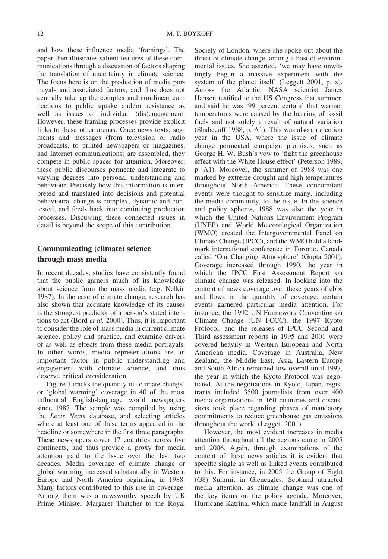and how these influence media 'framings'. The paper then illustrates salient features of these communications through a discussion of factors shaping the translation of uncertainty in climate science. The focus here is on the production of media portrayals and associated factors, and thus does not centrally take up the complex and non-linear connections to public uptake and/or resistance as well as issues of individual (dis)engagement. However, these framing processes provide explicit links to these other arenas. Once news texts, segments and messages (from television or radio broadcasts, to printed newspapers or magazines, and Internet communications) are assembled, they compete in public spaces for attention. Moreover, these public discourses permeate and integrate to varying degrees into personal understanding and behaviour. Precisely how this information is interpreted and translated into decisions and potential behavioural change is complex, dynamic and contested, and feeds back into continuing production processes. Discussing these connected issues in detail is beyond the scope of this contribution.

### Communicating (climate) science through mass media

In recent decades, studies have consistently found that the public garners much of its knowledge about science from the mass media (e.g. Nelkin 1987). In the case of climate change, research has also shown that accurate knowledge of its causes is the strongest predictor of a person's stated intentions to act (Bord et al. 2000). Thus, it is important to consider the role of mass media in current climate science, policy and practice, and examine drivers of as well as effects from these media portrayals. In other words, media representations are an important factor in public understanding and engagement with climate science, and thus deserve critical consideration.

Figure 1 tracks the quantity of 'climate change' or 'global warming' coverage in 40 of the most influential English-language world newspapers since 1987. The sample was compiled by using the Lexis Nexis database, and selecting articles where at least one of these terms appeared in the headline or somewhere in the first three paragraphs. These newspapers cover 17 countries across five continents, and thus provide a proxy for media attention paid to the issue over the last two decades. Media coverage of climate change or global warming increased substantially in Western Europe and North America beginning in 1988. Many factors contributed to this rise in coverage. Among them was a newsworthy speech by UK Prime Minister Margaret Thatcher to the Royal

Society of London, where she spoke out about the threat of climate change, among a host of environmental issues. She asserted, 'we may have unwittingly begun a massive experiment with the system of the planet itself' (Leggett 2001, p. x). Across the Atlantic, NASA scientist James Hansen testified to the US Congress that summer, and said he was '99 percent certain' that warmer temperatures were caused by the burning of fossil fuels and not solely a result of natural variation (Shabecoff 1988, p. A1). This was also an election year in the USA, where the issue of climate change permeated campaign promises, such as George H. W. Bush's vow to 'fight the greenhouse effect with the White House effect' (Peterson 1989, p. A1). Moreover, the summer of 1988 was one marked by extreme drought and high temperatures throughout North America. These concomitant events were thought to sensitize many, including the media community, to the issue. In the science and policy spheres, 1988 was also the year in which the United Nations Environment Program (UNEP) and World Meteorological Organization (WMO) created the Intergovernmental Panel on Climate Change (IPCC), and the WMO held a landmark international conference in Toronto, Canada called 'Our Changing Atmosphere' (Gupta 2001). Coverage increased through 1990, the year in which the IPCC First Assessment Report on climate change was released. In looking into the content of news coverage over these years of ebbs and flows in the quantity of coverage, certain events garnered particular media attention. For instance, the 1992 UN Framework Convention on Climate Change (UN FCCC), the 1997 Kyoto Protocol, and the releases of IPCC Second and Third assessment reports in 1995 and 2001 were covered heavily in Western European and North American media. Coverage in Australia, New Zealand, the Middle East, Asia, Eastern Europe and South Africa remained low overall until 1997, the year in which the Kyoto Protocol was negotiated. At the negotiations in Kyoto, Japan, registrants included 3500 journalists from over 400 media organizations in 160 countries and discussions took place regarding phases of mandatory commitments to reduce greenhouse gas emissions throughout the world (Leggett 2001).

However, the most evident increases in media attention throughout all the regions came in 2005 and 2006. Again, through examinations of the content of these news articles it is evident that specific single as well as linked events contributed to this. For instance, in 2005 the Group of Eight (G8) Summit in Gleneagles, Scotland attracted media attention, as climate change was one of the key items on the policy agenda. Moreover, Hurricane Katrina, which made landfall in August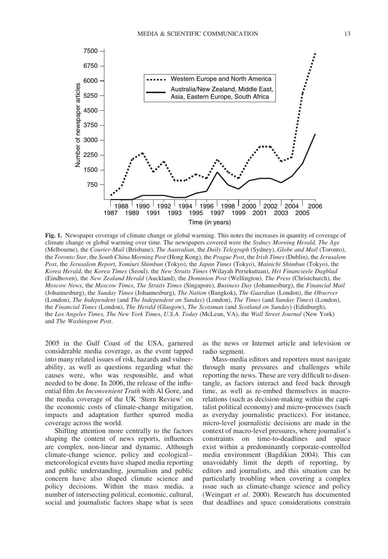

Fig. 1. Newspaper coverage of climate change or global warming. This notes the increases in quantity of coverage of climate change or global warming over time. The newspapers covered were the Sydney Morning Herald, The Age (Melbourne), the Courier-Mail (Brisbane), The Australian, the Daily Telegraph (Sydney), Globe and Mail (Toronto), the Toronto Star, the South China Morning Post (Hong Kong), the Prague Post, the Irish Times (Dublin), the Jerusalem Post, the Jerusalem Report, Yomiuri Shimbun (Tokyo), the Japan Times (Tokyo), Mainichi Shimbun (Tokyo), the Korea Herald, the Korea Times (Seoul), the New Straits Times (Wilayah Persekutuan), Het Financieele Dagblad (Eindhoven), the New Zealand Herald (Auckland), the Dominion Post (Wellington), The Press (Christchurch), the Moscow News, the Moscow Times, The Straits Times (Singapore), Business Day (Johannesburg), the Financial Mail (Johannesburg), the Sunday Times (Johannesburg), The Nation (Bangkok), The Guardian (London), the Observer (London), The Independent (and The Independent on Sunday) (London), The Times (and Sunday Times) (London), the Financial Times (London), The Herald (Glasgow), The Scotsman (and Scotland on Sunday) (Edinburgh), the Los Angeles Times, The New York Times, U.S.A. Today (McLean, VA), the Wall Street Journal (New York) and The Washington Post.

2005 in the Gulf Coast of the USA, garnered considerable media coverage, as the event tapped into many related issues of risk, hazards and vulnerability, as well as questions regarding what the causes were, who was responsible, and what needed to be done. In 2006, the release of the influential film An Inconvenient Truth with Al Gore, and the media coverage of the UK 'Stern Review' on the economic costs of climate-change mitigation, impacts and adaptation further spurred media coverage across the world.

Shifting attention more centrally to the factors shaping the content of news reports, influences are complex, non-linear and dynamic. Although climate-change science, policy and ecological– meteorological events have shaped media reporting and public understanding, journalism and public concern have also shaped climate science and policy decisions. Within the mass media, a number of intersecting political, economic, cultural, social and journalistic factors shape what is seen

as the news or Internet article and television or radio segment.

Mass-media editors and reporters must navigate through many pressures and challenges while reporting the news. These are very difficult to disentangle, as factors interact and feed back through time, as well as re-embed themselves in macrorelations (such as decision-making within the capitalist political economy) and micro-processes (such as everyday journalistic practices). For instance, micro-level journalistic decisions are made in the context of macro-level pressures, where journalist's constraints on time-to-deadlines and space exist within a predominantly corporate-controlled media environment (Bagdikian 2004). This can unavoidably limit the depth of reporting, by editors and journalists, and this situation can be particularly troubling when covering a complex issue such as climate-change science and policy (Weingart et al. 2000). Research has documented that deadlines and space considerations constrain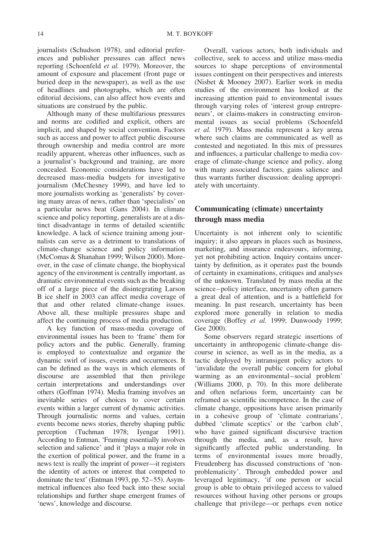journalists (Schudson 1978), and editorial preferences and publisher pressures can affect news reporting (Schoenfeld et al. 1979). Moreover, the amount of exposure and placement (front page or buried deep in the newspaper), as well as the use of headlines and photographs, which are often editorial decisions, can also affect how events and situations are construed by the public.

Although many of these multifarious pressures and norms are codified and explicit, others are implicit, and shaped by social convention. Factors such as access and power to affect public discourse through ownership and media control are more readily apparent, whereas other influences, such as a journalist's background and training, are more concealed. Economic considerations have led to decreased mass-media budgets for investigative journalism (McChesney 1999), and have led to more journalists working as 'generalists' by covering many areas of news, rather than 'specialists' on a particular news beat (Gans 2004). In climate science and policy reporting, generalists are at a distinct disadvantage in terms of detailed scientific knowledge. A lack of science training among journalists can serve as a detriment to translations of climate-change science and policy information (McComas & Shanahan 1999; Wilson 2000). Moreover, in the case of climate change, the biophysical agency of the environment is centrally important, as dramatic environmental events such as the breaking off of a large piece of the disintegrating Larson B ice shelf in 2003 can affect media coverage of that and other related climate-change issues. Above all, these multiple pressures shape and affect the continuing process of media production.

A key function of mass-media coverage of environmental issues has been to 'frame' them for policy actors and the public. Generally, framing is employed to contextualize and organize the dynamic swirl of issues, events and occurrences. It can be defined as the ways in which elements of discourse are assembled that then privilege certain interpretations and understandings over others (Goffman 1974). Media framing involves an inevitable series of choices to cover certain events within a larger current of dynamic activities. Through journalistic norms and values, certain events become news stories, thereby shaping public perception (Tuchman 1978; Iyengar 1991). According to Entman, 'Framing essentially involves selection and salience' and it 'plays a major role in the exertion of political power, and the frame in a news text is really the imprint of power—it registers the identity of actors or interest that competed to dominate the text' (Entman 1993, pp. 52–55). Asymmetrical influences also feed back into these social relationships and further shape emergent frames of 'news', knowledge and discourse.

Overall, various actors, both individuals and collective, seek to access and utilize mass-media sources to shape perceptions of environmental issues contingent on their perspectives and interests (Nisbet & Mooney 2007). Earlier work in media studies of the environment has looked at the increasing attention paid to environmental issues through varying roles of 'interest group entrepreneurs', or claims-makers in constructing environmental issues as social problems (Schoenfeld et al. 1979). Mass media represent a key arena where such claims are communicated as well as contested and negotiated. In this mix of pressures and influences, a particular challenge to media coverage of climate-change science and policy, along with many associated factors, gains salience and thus warrants further discussion: dealing appropriately with uncertainty.

### Communicating (climate) uncertainty through mass media

Uncertainty is not inherent only to scientific inquiry; it also appears in places such as business, marketing, and insurance endeavours, informing, yet not prohibiting action. Inquiry contains uncertainty by definition, as it operates past the bounds of certainty in examinations, critiques and analyses of the unknown. Translated by mass media at the science–policy interface, uncertainty often garners a great deal of attention, and is a battlefield for meaning. In past research, uncertainty has been explored more generally in relation to media coverage (Boffey et al. 1999; Dunwoody 1999; Gee 2000).

Some observers regard strategic insertions of uncertainty in anthropogenic climate-change discourse in science, as well as in the media, as a tactic deployed by intransigent policy actors to 'invalidate the overall public concern for global warming as an environmental–social problem' (Williams 2000, p. 70). In this more deliberate and often nefarious form, uncertainty can be reframed as scientific incompetence. In the case of climate change, oppositions have arisen primarily in a cohesive group of 'climate contrarians', dubbed 'climate sceptics' or the 'carbon club', who have gained significant discursive traction through the media, and, as a result, have significantly affected public understanding. In terms of environmental issues more broadly, Freudenberg has discussed constructions of 'nonproblematicity'. Through embedded power and leveraged legitimacy, 'if one person or social group is able to obtain privileged access to valued resources without having other persons or groups challenge that privilege—or perhaps even notice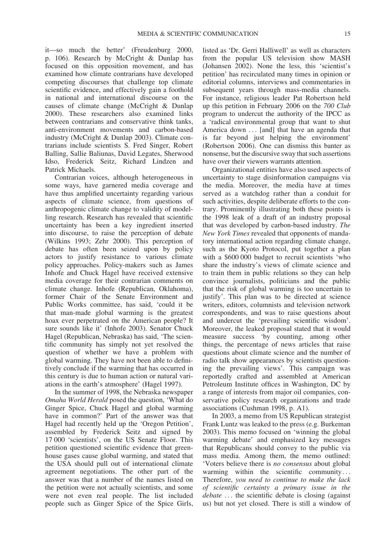it—so much the better' (Freudenburg 2000, p. 106). Research by McCright & Dunlap has focused on this opposition movement, and has examined how climate contrarians have developed competing discourses that challenge top climate scientific evidence, and effectively gain a foothold in national and international discourse on the causes of climate change (McCright & Dunlap 2000). These researchers also examined links between contrarians and conservative think tanks anti-environment movements and carbon-based industry (McCright & Dunlap 2003). Climate contrarians include scientists S. Fred Singer, Robert Balling, Sallie Baliunas, David Legates, Sherwood Idso, Frederick Seitz, Richard Lindzen and Patrick Michaels.

Contrarian voices, although heterogeneous in some ways, have garnered media coverage and have thus amplified uncertainty regarding various aspects of climate science, from questions of anthropogenic climate change to validity of modelling research. Research has revealed that scientific uncertainty has been a key ingredient inserted into discourse, to raise the perception of debate (Wilkins 1993; Zehr 2000). This perception of debate has often been seized upon by policy actors to justify resistance to various climate policy approaches. Policy-makers such as James Inhofe and Chuck Hagel have received extensive media coverage for their contrarian comments on climate change. Inhofe (Republican, Oklahoma), former Chair of the Senate Environment and Public Works committee, has said, 'could it be that man-made global warming is the greatest hoax ever perpetrated on the American people? It sure sounds like it' (Inhofe 2003). Senator Chuck Hagel (Republican, Nebraska) has said, 'The scientific community has simply not yet resolved the question of whether we have a problem with global warming. They have not been able to definitively conclude if the warming that has occurred in this century is due to human action or natural variations in the earth's atmosphere' (Hagel 1997).

In the summer of 1998, the Nebraska newspaper Omaha World Herald posed the question, 'What do Ginger Spice, Chuck Hagel and global warming have in common?' Part of the answer was that Hagel had recently held up the 'Oregon Petition', assembled by Frederick Seitz and signed by 17 000 'scientists', on the US Senate Floor. This petition questioned scientific evidence that greenhouse gases cause global warming, and stated that the USA should pull out of international climate agreement negotiations. The other part of the answer was that a number of the names listed on the petition were not actually scientists, and some were not even real people. The list included people such as Ginger Spice of the Spice Girls,

listed as 'Dr. Gerri Halliwell' as well as characters from the popular US television show MASH (Johansen 2002). None the less, this 'scientist's petition' has recirculated many times in opinion or editorial columns, interviews and commentaries in subsequent years through mass-media channels. For instance, religious leader Pat Robertson held up this petition in February 2006 on the 700 Club program to undercut the authority of the IPCC as a 'radical environmental group that want to shut America down ... [and] that have an agenda that is far beyond just helping the environment' (Robertson 2006). One can dismiss this banter as nonsense, but the discursive sway that such assertions have over their viewers warrants attention.

Organizational entities have also used aspects of uncertainty to stage disinformation campaigns via the media. Moreover, the media have at times served as a watchdog rather than a conduit for such activities, despite deliberate efforts to the contrary. Prominently illustrating both these points is the 1998 leak of a draft of an industry proposal that was developed by carbon-based industry. The New York Times revealed that opponents of mandatory international action regarding climate change, such as the Kyoto Protocol, put together a plan with a \$600 000 budget to recruit scientists 'who share the industry's views of climate science and to train them in public relations so they can help convince journalists, politicians and the public that the risk of global warming is too uncertain to justify'. This plan was to be directed at science writers, editors, columnists and television network correspondents, and was to raise questions about and undercut the 'prevailing scientific wisdom'. Moreover, the leaked proposal stated that it would measure success 'by counting, among other things, the percentage of news articles that raise questions about climate science and the number of radio talk show appearances by scientists questioning the prevailing views'. This campaign was reportedly crafted and assembled at American Petroleum Institute offices in Washington, DC by a range of interests from major oil companies, conservative policy research organizations and trade associations (Cushman 1998, p. A1).

In 2003, a memo from US Republican strategist Frank Luntz was leaked to the press (e.g. Burkeman 2003). This memo focused on 'winning the global warming debate' and emphasized key messages that Republicans should convey to the public via mass media. Among them, the memo outlined: 'Voters believe there is no consensus about global warming within the scientific community... Therefore, you need to continue to make the lack of scientific certainty a primary issue in the debate ... the scientific debate is closing (against) us) but not yet closed. There is still a window of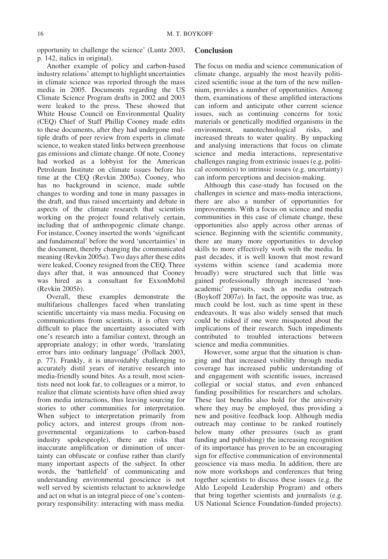opportunity to challenge the science' (Luntz 2003, p. 142, italics in original).

Another example of policy and carbon-based industry relations' attempt to highlight uncertainties in climate science was reported through the mass media in 2005. Documents regarding the US Climate Science Program drafts in 2002 and 2003 were leaked to the press. These showed that White House Council on Environmental Quality (CEQ) Chief of Staff Phillip Cooney made edits to these documents, after they had undergone multiple drafts of peer review from experts in climate science, to weaken stated links between greenhouse gas emissions and climate change. Of note, Cooney had worked as a lobbyist for the American Petroleum Institute on climate issues before his time at the CEQ (Revkin 2005a). Cooney, who has no background in science, made subtle changes to wording and tone in many passages in the draft, and thus raised uncertainty and debate in aspects of the climate research that scientists working on the project found relatively certain, including that of anthropogenic climate change. For instance, Cooney inserted the words 'significant and fundamental' before the word 'uncertainties' in the document, thereby changing the communicated meaning (Revkin 2005 $a$ ). Two days after these edits were leaked, Cooney resigned from the CEQ. Three days after that, it was announced that Cooney was hired as a consultant for ExxonMobil (Revkin 2005b).

Overall, these examples demonstrate the multifarious challenges faced when translating scientific uncertainty via mass media. Focusing on communications from scientists, it is often very difficult to place the uncertainty associated with one's research into a familiar context, through an appropriate analogy; in other words, 'translating error bars into ordinary language' (Pollack 2003, p. 77). Frankly, it is unavoidably challenging to accurately distil years of iterative research into media-friendly sound bites. As a result, most scientists need not look far, to colleagues or a mirror, to realize that climate scientists have often shied away from media interactions, thus leaving sourcing for stories to other communities for interpretation. When subject to interpretation primarily from policy actors, and interest groups (from nongovernmental organizations to carbon-based industry spokespeople), there are risks that inaccurate amplification or diminution of uncertainty can obfuscate or confuse rather than clarify many important aspects of the subject. In other words, the 'battlefield' of communicating and understanding environmental geoscience is not well served by scientists reluctant to acknowledge and act on what is an integral piece of one's contemporary responsibility: interacting with mass media.

#### Conclusion

The focus on media and science communication of climate change, arguably the most heavily politicized scientific issue at the turn of the new millennium, provides a number of opportunities. Among them, examinations of these amplified interactions can inform and anticipate other current science issues, such as continuing concerns for toxic materials or genetically modified organisms in the environment, nanotechnological risks, and increased threats to water quality. By unpacking and analysing interactions that focus on climate science and media interactions, representative challenges ranging from extrinsic issues (e.g. political economics) to intrinsic issues (e.g. uncertainty) can inform perceptions and decision-making.

Although this case-study has focused on the challenges in science and mass-media interactions, there are also a number of opportunities for improvements. With a focus on science and media communities in this case of climate change, these opportunities also apply across other arenas of science. Beginning with the scientific community, there are many more opportunities to develop skills to more effectively work with the media. In past decades, it is well known that most reward systems within science (and academia more broadly) were structured such that little was gained professionally through increased 'nonacademic' pursuits, such as media outreach (Boykoff  $2007a$ ). In fact, the opposite was true, as much could be lost, such as time spent in these endeavours. It was also widely sensed that much could be risked if one were misquoted about the implications of their research. Such impediments contributed to troubled interactions between science and media communities.

However, some argue that the situation is changing and that increased visibility through media coverage has increased public understanding of and engagement with scientific issues, increased collegial or social status, and even enhanced funding possibilities for researchers and scholars. These last benefits also hold for the university where they may be employed, thus providing a new and positive feedback loop. Although media outreach may continue to be ranked routinely below many other pressures (such as grant funding and publishing) the increasing recognition of its importance has proven to be an encouraging sign for effective communication of environmental geoscience via mass media. In addition, there are now more workshops and conferences that bring together scientists to discuss these issues (e.g. the Aldo Leopold Leadership Program) and others that bring together scientists and journalists (e.g. US National Science Foundation-funded projects).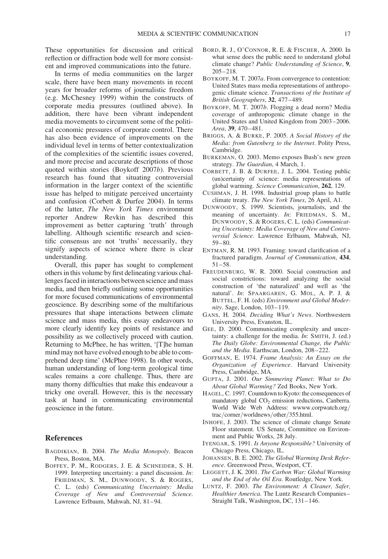These opportunities for discussion and critical reflection or diffraction bode well for more consistent and improved communications into the future.

In terms of media communities on the larger scale, there have been many movements in recent years for broader reforms of journalistic freedom (e.g. McChesney 1999) within the constructs of corporate media pressures (outlined above). In addition, there have been vibrant independent media movements to circumvent some of the political economic pressures of corporate control. There has also been evidence of improvements on the individual level in terms of better contextualization of the complexities of the scientific issues covered, and more precise and accurate descriptions of those quoted within stories (Boykoff 2007b). Previous research has found that situating controversial information in the larger context of the scientific issue has helped to mitigate perceived uncertainty and confusion (Corbett & Durfee 2004). In terms of the latter, The New York Times environment reporter Andrew Revkin has described this improvement as better capturing 'truth' through labelling. Although scientific research and scientific consensus are not 'truths' necessarily, they signify aspects of science where there is clear understanding.

Overall, this paper has sought to complement others in this volume by first delineating various challenges faced in interactions between science and mass media, and then briefly outlining some opportunities for more focused communications of environmental geoscience. By describing some of the multifarious pressures that shape interactions between climate science and mass media, this essay endeavours to more clearly identify key points of resistance and possibility as we collectively proceed with caution. Returning to McPhee, he has written, '[T]he human mind may not have evolved enough to be able to comprehend deep time' (McPhee 1998). In other words, human understanding of long-term geological time scales remains a core challenge. Thus, there are many thorny difficulties that make this endeavour a tricky one overall. However, this is the necessary task at hand in communicating environmental geoscience in the future.

#### References

- BAGDIKIAN, B. 2004. The Media Monopoly. Beacon Press, Boston, MA.
- BOFFEY, P. M., RODGERS, J. E. & SCHNEIDER, S. H. 1999. Interpreting uncertainty: a panel discussion. In: FRIEDMAN, S. M., DUNWOODY, S. & ROGERS, C. L. (eds) Communicating Uncertainty: Media Coverage of New and Controversial Science. Lawrence Erlbaum, Mahwah, NJ, 81–94.
- BORD, R. J., O'CONNOR, R. E. & FISCHER, A. 2000. In what sense does the public need to understand global climate change? Public Understanding of Science, 9, 205–218.
- BOYKOFF, M. T. 2007a. From convergence to contention: United States mass media representations of anthropogenic climate science. Transactions of the Institute of British Geographers, 32, 477–489.
- BOYKOFF, M. T. 2007b. Flogging a dead norm? Media coverage of anthropogenic climate change in the United States and United Kingdom from 2003–2006. Area, 39, 470–481.
- BRIGGS, A. & BURKE, P. 2005. A Social History of the Media: from Gutenberg to the Internet. Polity Press, Cambridge.
- BURKEMAN, O. 2003. Memo exposes Bush's new green strategy. The Guardian, 4 March, 1.
- CORBETT, J. B. & DURFEE, J. L. 2004. Testing public (un)certainty of science: media representations of global warming. Science Communication, 262, 129.
- CUSHMAN, J. H. 1998. Industrial group plans to battle climate treaty. The New York Times, 26 April, A1.
- DUNWOODY, S. 1999. Scientists, journalists, and the meaning of uncertainty. In: FRIEDMAN, S. M., DUNWOODY, S. & ROGERS, C. L. (eds) Communicating Uncertainty: Media Coverage of New and Controversial Science. Lawrence Erlbaum, Mahwah, NJ, 59–80.
- ENTMAN, R. M. 1993. Framing: toward clarification of a fractured paradigm. Journal of Communication, 434, 51–58.
- FREUDENBURG, W. R. 2000. Social construction and social constrictions: toward analyzing the social construction of 'the naturalized' and well as 'the natural'. In: SPAARGAREN, G. MOL, A. P. J. & BUTTEL, F. H. (eds) Environment and Global Modernity. Sage, London, 103–119.
- GANS, H. 2004. Deciding What's News. Northwestern University Press, Evanston, IL.
- GEE, D. 2000. Communicating complexity and uncertainty: a challenge for the media.  $In: SMITH, J. (ed.)$ The Daily Globe: Environmental Change, the Public and the Media. Earthscan, London, 208–222.
- GOFFMAN, E. 1974. Frame Analysis: An Essay on the Organization of Experience. Harvard University Press, Cambridge, MA.
- GUPTA, J. 2001. Our Simmering Planet: What to Do About Global Warming? Zed Books, New York.
- HAGEL, C. 1997. Countdown to Kyoto: the consequences of mandatory global  $CO<sub>2</sub>$  emission reductions, Canberra. World Wide Web Address: wwww.corpwatch.org/ trac/corner/worldnews/other/355.html.
- INHOFE, J. 2003. The science of climate change Senate Floor statement. US Senate, Committee on Environment and Public Works, 28 July.
- IYENGAR, S. 1991. Is Anyone Responsible? University of Chicago Press, Chicago, IL.
- JOHANSEN, B. E. 2002. The Global Warming Desk Reference. Greenwood Press, Westport, CT.
- LEGGETT, J. K. 2001. The Carbon War: Global Warming and the End of the Oil Era. Routledge, New York.
- LUNTZ, F. 2003. The Environment: A Cleaner, Safer, Healthier America. The Luntz Research Companies– Straight Talk, Washington, DC, 131–146.